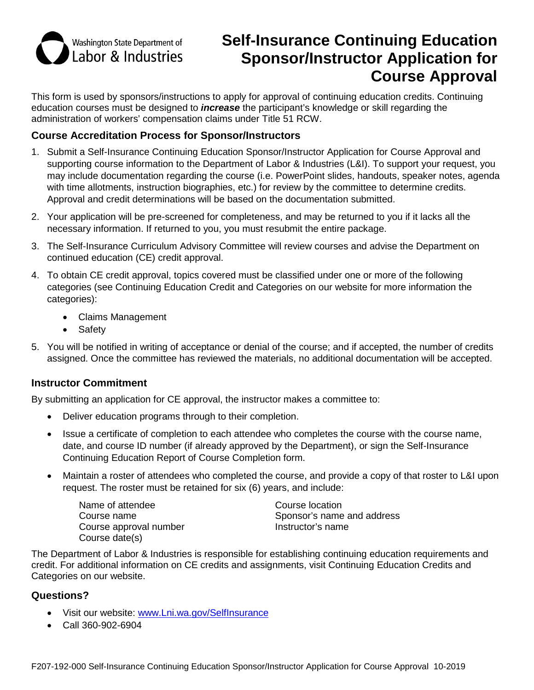

# **Self-Insurance Continuing Education Sponsor/Instructor Application for Course Approval**

This form is used by sponsors/instructions to apply for approval of continuing education credits. Continuing education courses must be designed to *increase* the participant's knowledge or skill regarding the administration of workers' compensation claims under Title 51 RCW.

## **Course Accreditation Process for Sponsor/Instructors**

- 1. Submit a Self-Insurance Continuing Education Sponsor/Instructor Application for Course Approval and supporting course information to the Department of Labor & Industries (L&I). To support your request, you may include documentation regarding the course (i.e. PowerPoint slides, handouts, speaker notes, agenda with time allotments, instruction biographies, etc.) for review by the committee to determine credits. Approval and credit determinations will be based on the documentation submitted.
- 2. Your application will be pre-screened for completeness, and may be returned to you if it lacks all the necessary information. If returned to you, you must resubmit the entire package.
- 3. The Self-Insurance Curriculum Advisory Committee will review courses and advise the Department on continued education (CE) credit approval.
- 4. To obtain CE credit approval, topics covered must be classified under one or more of the following categories (see Continuing Education Credit and Categories on our website for more information the categories):
	- Claims Management
	- Safety
- 5. You will be notified in writing of acceptance or denial of the course; and if accepted, the number of credits assigned. Once the committee has reviewed the materials, no additional documentation will be accepted.

## **Instructor Commitment**

By submitting an application for CE approval, the instructor makes a committee to:

- Deliver education programs through to their completion.
- Issue a certificate of completion to each attendee who completes the course with the course name, date, and course ID number (if already approved by the Department), or sign the Self-Insurance Continuing Education Report of Course Completion form.
- Maintain a roster of attendees who completed the course, and provide a copy of that roster to L&I upon request. The roster must be retained for six (6) years, and include:

Name of attendee Course name Course approval number Course date(s)

Course location Sponsor's name and address Instructor's name

The Department of Labor & Industries is responsible for establishing continuing education requirements and credit. For additional information on CE credits and assignments, visit Continuing Education Credits and Categories on our website.

## **Questions?**

- Visit our website: [www.Lni.wa.gov/SelfInsurance](http://www.lni.wa.gov/SelfInsurance)
- Call 360-902-6904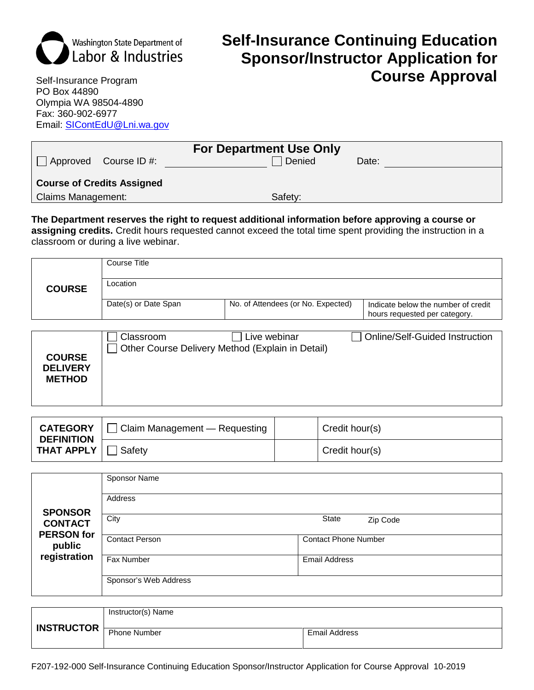

# **Self-Insurance Continuing Education Sponsor/Instructor Application for Course Approval**

Self-Insurance Program PO Box 44890 Olympia WA 98504-4890 Fax: 360-902-6977 Email: [SIContEdU@Lni.wa.gov](mailto:SIContEdU@Lni.wa.gov)

| <b>For Department Use Only</b>    |  |         |        |       |
|-----------------------------------|--|---------|--------|-------|
| $\Box$ Approved Course ID #:      |  |         | Oenied | Date: |
|                                   |  |         |        |       |
| <b>Course of Credits Assigned</b> |  |         |        |       |
| <b>Claims Management:</b>         |  | Safety: |        |       |

### **The Department reserves the right to request additional information before approving a course or assigning credits.** Credit hours requested cannot exceed the total time spent providing the instruction in a

classroom or during a live webinar.

| <b>COURSE</b> | Course Title         |                                    |                                                                      |  |  |
|---------------|----------------------|------------------------------------|----------------------------------------------------------------------|--|--|
|               | Location             |                                    |                                                                      |  |  |
|               | Date(s) or Date Span | No. of Attendees (or No. Expected) | Indicate below the number of credit<br>hours requested per category. |  |  |

| <b>COURSE</b><br><b>DELIVERY</b><br><b>METHOD</b> | Classroom | Live webinar<br>Other Course Delivery Method (Explain in Detail) | <b>Online/Self-Guided Instruction</b> |
|---------------------------------------------------|-----------|------------------------------------------------------------------|---------------------------------------|
|---------------------------------------------------|-----------|------------------------------------------------------------------|---------------------------------------|

| <b>CATEGORY</b><br><b>DEFINITION</b><br>$\mid$ THAT APPLY $\mid \; \mid$ | Claim Management - Requesting | Credit hour(s) |
|--------------------------------------------------------------------------|-------------------------------|----------------|
|                                                                          | Safety                        | Credit hour(s) |

|                                                                 | Sponsor Name          |                             |  |  |
|-----------------------------------------------------------------|-----------------------|-----------------------------|--|--|
| <b>SPONSOR</b><br><b>CONTACT</b><br><b>PERSON</b> for<br>public | Address               |                             |  |  |
|                                                                 | City                  | <b>State</b><br>Zip Code    |  |  |
|                                                                 | <b>Contact Person</b> | <b>Contact Phone Number</b> |  |  |
| registration                                                    | Fax Number            | <b>Email Address</b>        |  |  |
|                                                                 | Sponsor's Web Address |                             |  |  |

|                   | Instructor(s) Name  |               |
|-------------------|---------------------|---------------|
| <b>INSTRUCTOR</b> | <b>Phone Number</b> | Email Address |

F207-192-000 Self-Insurance Continuing Education Sponsor/Instructor Application for Course Approval 10-2019